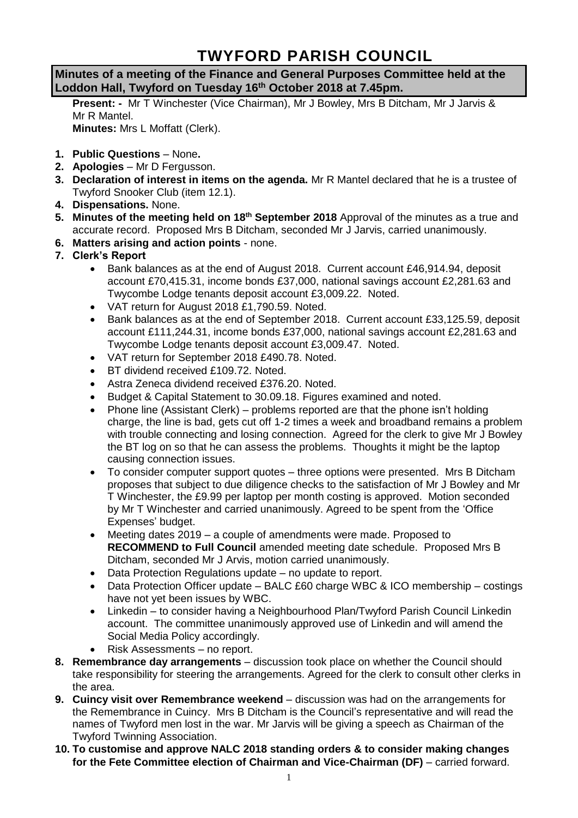# **TWYFORD PARISH COUNCIL**

**Minutes of a meeting of the Finance and General Purposes Committee held at the Loddon Hall, Twyford on Tuesday 16th October 2018 at 7.45pm.**

**Present: -** Mr T Winchester (Vice Chairman), Mr J Bowley, Mrs B Ditcham, Mr J Jarvis & Mr R Mantel

**Minutes:** Mrs L Moffatt (Clerk).

- **1. Public Questions** None**.**
- **2. Apologies** Mr D Fergusson.
- **3. Declaration of interest in items on the agenda.** Mr R Mantel declared that he is a trustee of Twyford Snooker Club (item 12.1).
- **4. Dispensations.** None.
- **5. Minutes of the meeting held on 18th September 2018** Approval of the minutes as a true and accurate record. Proposed Mrs B Ditcham, seconded Mr J Jarvis, carried unanimously.
- **6. Matters arising and action points** none.
- **7. Clerk's Report**
	- Bank balances as at the end of August 2018. Current account £46,914.94, deposit account £70,415.31, income bonds £37,000, national savings account £2,281.63 and Twycombe Lodge tenants deposit account £3,009.22. Noted.
	- VAT return for August 2018 £1,790.59. Noted.
	- Bank balances as at the end of September 2018. Current account £33,125.59, deposit account £111,244.31, income bonds £37,000, national savings account £2,281.63 and Twycombe Lodge tenants deposit account £3,009.47. Noted.
	- VAT return for September 2018 £490.78. Noted.
	- BT dividend received £109.72. Noted.
	- Astra Zeneca dividend received £376.20. Noted.
	- Budget & Capital Statement to 30.09.18. Figures examined and noted.
	- Phone line (Assistant Clerk) problems reported are that the phone isn't holding charge, the line is bad, gets cut off 1-2 times a week and broadband remains a problem with trouble connecting and losing connection. Agreed for the clerk to give Mr J Bowley the BT log on so that he can assess the problems. Thoughts it might be the laptop causing connection issues.
	- To consider computer support quotes three options were presented. Mrs B Ditcham proposes that subject to due diligence checks to the satisfaction of Mr J Bowley and Mr T Winchester, the £9.99 per laptop per month costing is approved. Motion seconded by Mr T Winchester and carried unanimously. Agreed to be spent from the 'Office Expenses' budget.
	- Meeting dates 2019 a couple of amendments were made. Proposed to **RECOMMEND to Full Council** amended meeting date schedule. Proposed Mrs B Ditcham, seconded Mr J Arvis, motion carried unanimously.
	- Data Protection Regulations update no update to report.
	- Data Protection Officer update BALC £60 charge WBC & ICO membership costings have not yet been issues by WBC.
	- Linkedin to consider having a Neighbourhood Plan/Twyford Parish Council Linkedin account. The committee unanimously approved use of Linkedin and will amend the Social Media Policy accordingly.
	- Risk Assessments no report.
- **8. Remembrance day arrangements** discussion took place on whether the Council should take responsibility for steering the arrangements. Agreed for the clerk to consult other clerks in the area.
- **9. Cuincy visit over Remembrance weekend** discussion was had on the arrangements for the Remembrance in Cuincy. Mrs B Ditcham is the Council's representative and will read the names of Twyford men lost in the war. Mr Jarvis will be giving a speech as Chairman of the Twyford Twinning Association.
- **10. To customise and approve NALC 2018 standing orders & to consider making changes for the Fete Committee election of Chairman and Vice-Chairman (DF)** – carried forward.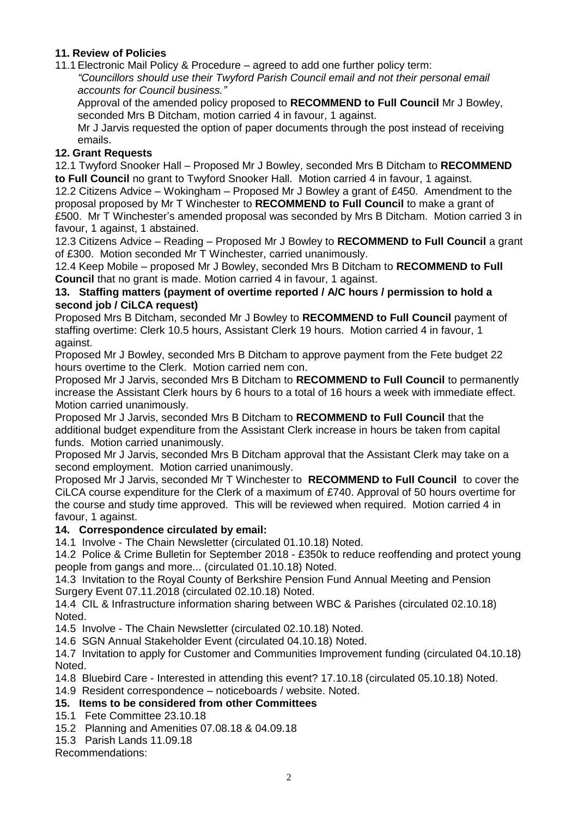### **11. Review of Policies**

11.1Electronic Mail Policy & Procedure – agreed to add one further policy term:

*"Councillors should use their Twyford Parish Council email and not their personal email accounts for Council business."*

Approval of the amended policy proposed to **RECOMMEND to Full Council** Mr J Bowley, seconded Mrs B Ditcham, motion carried 4 in favour, 1 against.

Mr J Jarvis requested the option of paper documents through the post instead of receiving emails.

#### **12. Grant Requests**

12.1 Twyford Snooker Hall – Proposed Mr J Bowley, seconded Mrs B Ditcham to **RECOMMEND to Full Council** no grant to Twyford Snooker Hall. Motion carried 4 in favour, 1 against.

12.2 Citizens Advice – Wokingham – Proposed Mr J Bowley a grant of £450. Amendment to the proposal proposed by Mr T Winchester to **RECOMMEND to Full Council** to make a grant of £500. Mr T Winchester's amended proposal was seconded by Mrs B Ditcham. Motion carried 3 in favour, 1 against, 1 abstained.

12.3 Citizens Advice – Reading – Proposed Mr J Bowley to **RECOMMEND to Full Council** a grant of £300. Motion seconded Mr T Winchester, carried unanimously.

12.4 Keep Mobile – proposed Mr J Bowley, seconded Mrs B Ditcham to **RECOMMEND to Full Council** that no grant is made. Motion carried 4 in favour, 1 against.

#### **13. Staffing matters (payment of overtime reported / A/C hours / permission to hold a second job / CiLCA request)**

Proposed Mrs B Ditcham, seconded Mr J Bowley to **RECOMMEND to Full Council** payment of staffing overtime: Clerk 10.5 hours, Assistant Clerk 19 hours. Motion carried 4 in favour, 1 against.

Proposed Mr J Bowley, seconded Mrs B Ditcham to approve payment from the Fete budget 22 hours overtime to the Clerk. Motion carried nem con.

Proposed Mr J Jarvis, seconded Mrs B Ditcham to **RECOMMEND to Full Council** to permanently increase the Assistant Clerk hours by 6 hours to a total of 16 hours a week with immediate effect. Motion carried unanimously.

Proposed Mr J Jarvis, seconded Mrs B Ditcham to **RECOMMEND to Full Council** that the additional budget expenditure from the Assistant Clerk increase in hours be taken from capital funds. Motion carried unanimously.

Proposed Mr J Jarvis, seconded Mrs B Ditcham approval that the Assistant Clerk may take on a second employment. Motion carried unanimously.

Proposed Mr J Jarvis, seconded Mr T Winchester to **RECOMMEND to Full Council** to cover the CiLCA course expenditure for the Clerk of a maximum of £740. Approval of 50 hours overtime for the course and study time approved. This will be reviewed when required. Motion carried 4 in favour, 1 against.

## **14. Correspondence circulated by email:**

14.1 Involve - The Chain Newsletter (circulated 01.10.18) Noted.

14.2 Police & Crime Bulletin for September 2018 - £350k to reduce reoffending and protect young people from gangs and more... (circulated 01.10.18) Noted.

14.3 Invitation to the Royal County of Berkshire Pension Fund Annual Meeting and Pension Surgery Event 07.11.2018 (circulated 02.10.18) Noted.

14.4 CIL & Infrastructure information sharing between WBC & Parishes (circulated 02.10.18) Noted.

14.5 Involve - The Chain Newsletter (circulated 02.10.18) Noted.

14.6 SGN Annual Stakeholder Event (circulated 04.10.18) Noted.

14.7 Invitation to apply for Customer and Communities Improvement funding (circulated 04.10.18) Noted.

14.8 Bluebird Care - Interested in attending this event? 17.10.18 (circulated 05.10.18) Noted.

14.9 Resident correspondence – noticeboards / website. Noted.

## **15. Items to be considered from other Committees**

- 15.1 Fete Committee 23.10.18
- 15.2 Planning and Amenities 07.08.18 & 04.09.18
- 15.3 Parish Lands 11.09.18

Recommendations: